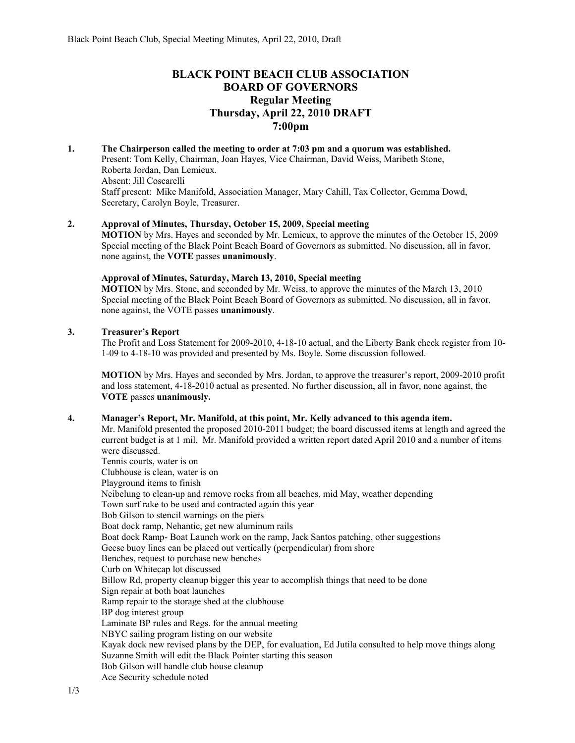# **BLACK POINT BEACH CLUB ASSOCIATION BOARD OF GOVERNORS Regular Meeting Thursday, April 22, 2010 DRAFT 7:00pm**

**1. The Chairperson called the meeting to order at 7:03 pm and a quorum was established.**  Present: Tom Kelly, Chairman, Joan Hayes, Vice Chairman, David Weiss, Maribeth Stone, Roberta Jordan, Dan Lemieux. Absent: Jill Coscarelli Staff present: Mike Manifold, Association Manager, Mary Cahill, Tax Collector, Gemma Dowd, Secretary, Carolyn Boyle, Treasurer.

#### **2. Approval of Minutes, Thursday, October 15, 2009, Special meeting**

**MOTION** by Mrs. Hayes and seconded by Mr. Lemieux, to approve the minutes of the October 15, 2009 Special meeting of the Black Point Beach Board of Governors as submitted. No discussion, all in favor, none against, the **VOTE** passes **unanimously**.

# **Approval of Minutes, Saturday, March 13, 2010, Special meeting**

**MOTION** by Mrs. Stone, and seconded by Mr. Weiss, to approve the minutes of the March 13, 2010 Special meeting of the Black Point Beach Board of Governors as submitted. No discussion, all in favor, none against, the VOTE passes **unanimously**.

### **3. Treasurer's Report**

The Profit and Loss Statement for 2009-2010, 4-18-10 actual, and the Liberty Bank check register from 10- 1-09 to 4-18-10 was provided and presented by Ms. Boyle. Some discussion followed.

**MOTION** by Mrs. Hayes and seconded by Mrs. Jordan, to approve the treasurer's report, 2009-2010 profit and loss statement, 4-18-2010 actual as presented. No further discussion, all in favor, none against, the **VOTE** passes **unanimously.** 

# **4. Manager's Report, Mr. Manifold, at this point, Mr. Kelly advanced to this agenda item.**

Mr. Manifold presented the proposed 2010-2011 budget; the board discussed items at length and agreed the current budget is at 1 mil. Mr. Manifold provided a written report dated April 2010 and a number of items were discussed. Tennis courts, water is on Clubhouse is clean, water is on Playground items to finish Neibelung to clean-up and remove rocks from all beaches, mid May, weather depending Town surf rake to be used and contracted again this year Bob Gilson to stencil warnings on the piers Boat dock ramp, Nehantic, get new aluminum rails Boat dock Ramp- Boat Launch work on the ramp, Jack Santos patching, other suggestions Geese buoy lines can be placed out vertically (perpendicular) from shore Benches, request to purchase new benches Curb on Whitecap lot discussed Billow Rd, property cleanup bigger this year to accomplish things that need to be done Sign repair at both boat launches Ramp repair to the storage shed at the clubhouse BP dog interest group Laminate BP rules and Regs. for the annual meeting NBYC sailing program listing on our website Kayak dock new revised plans by the DEP, for evaluation, Ed Jutila consulted to help move things along Suzanne Smith will edit the Black Pointer starting this season Bob Gilson will handle club house cleanup Ace Security schedule noted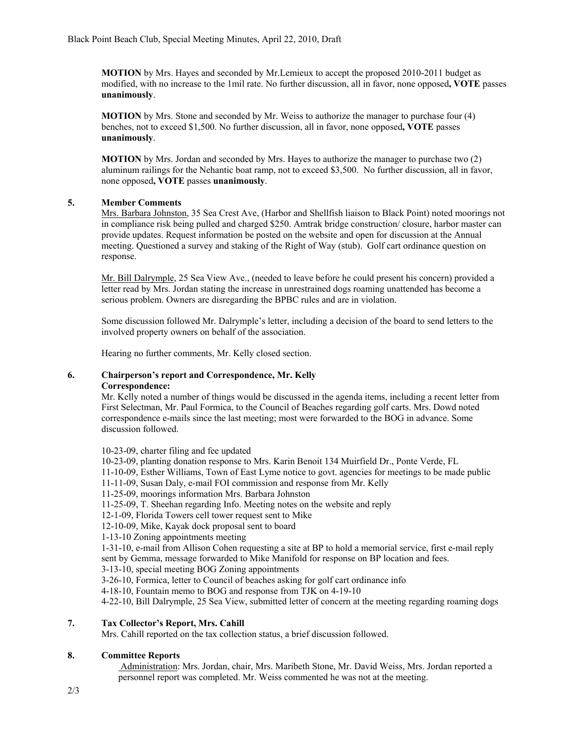**MOTION** by Mrs. Hayes and seconded by Mr.Lemieux to accept the proposed 2010-2011 budget as modified, with no increase to the 1mil rate. No further discussion, all in favor, none opposed**, VOTE** passes **unanimously**.

**MOTION** by Mrs. Stone and seconded by Mr. Weiss to authorize the manager to purchase four (4) benches, not to exceed \$1,500. No further discussion, all in favor, none opposed**, VOTE** passes **unanimously**.

**MOTION** by Mrs. Jordan and seconded by Mrs. Hayes to authorize the manager to purchase two (2) aluminum railings for the Nehantic boat ramp, not to exceed \$3,500. No further discussion, all in favor, none opposed**, VOTE** passes **unanimously**.

# **5. Member Comments**

Mrs. Barbara Johnston, 35 Sea Crest Ave, (Harbor and Shellfish liaison to Black Point) noted moorings not in compliance risk being pulled and charged \$250. Amtrak bridge construction/ closure, harbor master can provide updates. Request information be posted on the website and open for discussion at the Annual meeting. Questioned a survey and staking of the Right of Way (stub). Golf cart ordinance question on response.

Mr. Bill Dalrymple, 25 Sea View Ave., (needed to leave before he could present his concern) provided a letter read by Mrs. Jordan stating the increase in unrestrained dogs roaming unattended has become a serious problem. Owners are disregarding the BPBC rules and are in violation.

Some discussion followed Mr. Dalrymple's letter, including a decision of the board to send letters to the involved property owners on behalf of the association.

Hearing no further comments, Mr. Kelly closed section.

#### **6. Chairperson's report and Correspondence, Mr. Kelly Correspondence:**

Mr. Kelly noted a number of things would be discussed in the agenda items, including a recent letter from First Selectman, Mr. Paul Formica, to the Council of Beaches regarding golf carts. Mrs. Dowd noted correspondence e-mails since the last meeting; most were forwarded to the BOG in advance. Some discussion followed.

10-23-09, charter filing and fee updated

10-23-09, planting donation response to Mrs. Karin Benoit 134 Muirfield Dr., Ponte Verde, FL

11-10-09, Esther Williams, Town of East Lyme notice to govt. agencies for meetings to be made public

11-11-09, Susan Daly, e-mail FOI commission and response from Mr. Kelly

11-25-09, moorings information Mrs. Barbara Johnston

11-25-09, T. Sheehan regarding Info. Meeting notes on the website and reply

12-1-09, Florida Towers cell tower request sent to Mike

12-10-09, Mike, Kayak dock proposal sent to board

1-13-10 Zoning appointments meeting

1-31-10, e-mail from Allison Cohen requesting a site at BP to hold a memorial service, first e-mail reply sent by Gemma, message forwarded to Mike Manifold for response on BP location and fees.

3-13-10, special meeting BOG Zoning appointments

3-26-10, Formica, letter to Council of beaches asking for golf cart ordinance info

4-18-10, Fountain memo to BOG and response from TJK on 4-19-10

4-22-10, Bill Dalrymple, 25 Sea View, submitted letter of concern at the meeting regarding roaming dogs

# **7. Tax Collector's Report, Mrs. Cahill**

Mrs. Cahill reported on the tax collection status, a brief discussion followed.

# **8. Committee Reports**

 Administration: Mrs. Jordan, chair, Mrs. Maribeth Stone, Mr. David Weiss, Mrs. Jordan reported a personnel report was completed. Mr. Weiss commented he was not at the meeting.